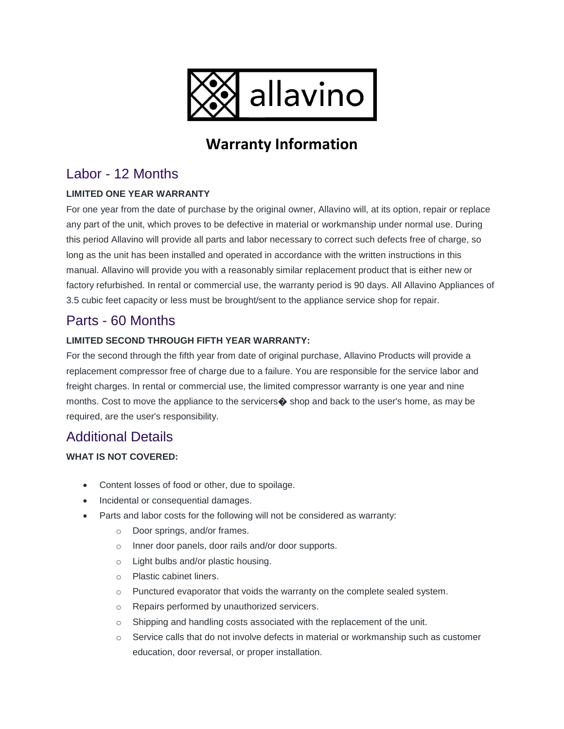

# **Warranty Information**

# Labor - 12 Months

#### **LIMITED ONE YEAR WARRANTY**

For one year from the date of purchase by the original owner, Allavino will, at its option, repair or replace any part of the unit, which proves to be defective in material or workmanship under normal use. During this period Allavino will provide all parts and labor necessary to correct such defects free of charge, so long as the unit has been installed and operated in accordance with the written instructions in this manual. Allavino will provide you with a reasonably similar replacement product that is either new or factory refurbished. In rental or commercial use, the warranty period is 90 days. All Allavino Appliances of 3.5 cubic feet capacity or less must be brought/sent to the appliance service shop for repair.

## Parts - 60 Months

#### **LIMITED SECOND THROUGH FIFTH YEAR WARRANTY:**

For the second through the fifth year from date of original purchase, Allavino Products will provide a replacement compressor free of charge due to a failure. You are responsible for the service labor and freight charges. In rental or commercial use, the limited compressor warranty is one year and nine months. Cost to move the appliance to the servicers $\bullet$  shop and back to the user's home, as may be required, are the user's responsibility.

## Additional Details

#### **WHAT IS NOT COVERED:**

- Content losses of food or other, due to spoilage.
- Incidental or consequential damages.
- Parts and labor costs for the following will not be considered as warranty:
	- o Door springs, and/or frames.
	- o Inner door panels, door rails and/or door supports.
	- o Light bulbs and/or plastic housing.
	- o Plastic cabinet liners.
	- o Punctured evaporator that voids the warranty on the complete sealed system.
	- o Repairs performed by unauthorized servicers.
	- o Shipping and handling costs associated with the replacement of the unit.
	- $\circ$  Service calls that do not involve defects in material or workmanship such as customer education, door reversal, or proper installation.